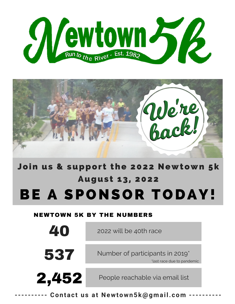



Join us & support the 2022 Newtown 5k August 13, 2022 BE A SPONSOR TODAY!

#### NEWTOWN 5K BY THE NUMBERS

| 40    | 2022 will be 40th race                                                    |  |  |  |  |
|-------|---------------------------------------------------------------------------|--|--|--|--|
| 537   | Number of participants in 2019 <sup>*</sup><br>*last race due to pandemic |  |  |  |  |
| 2,452 | People reachable via email list                                           |  |  |  |  |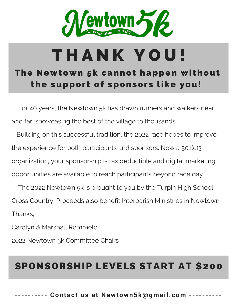

## The Newtown 5k cannot happen without T H A N K Y O U !

the support of sponsors like you!

For 40 years, the Newtown 5k has drawn runners and walkers near and far, showcasing the best of the village to thousands.

Building on this successful tradition, the 2022 race hopes to improve the experience for both participants and sponsors. Now a 501(c)3 organization, your sponsorship is tax deductible and digital marketing opportunities are available to reach participants beyond race day.

The 2022 Newtown 5k is brought to you by the Turpin High School Cross Country. Proceeds also benefit Interparish Ministries in Newtown. Thanks,

Carolyn & Marshall Remmele

2022 Newtown 5k Committee Chairs

## SPONSORSHIP LEVELS START AT \$200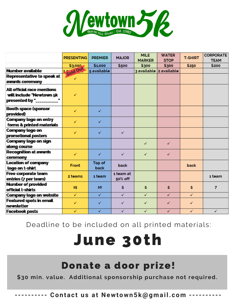

|                                                           | <b>PRESENTING</b>      | <b>PREMIER</b>        | <b>MAJOR</b> | <b>MILE</b><br><b>MARKER</b> | <b>WATER</b><br><b>STOP</b> | <b>T-SHIRT</b> | <b>CORPORATE</b><br><b>TEAM</b> |
|-----------------------------------------------------------|------------------------|-----------------------|--------------|------------------------------|-----------------------------|----------------|---------------------------------|
|                                                           | \$3,000                | \$1,000               | \$500        | \$300                        | \$300                       | \$250          | \$200                           |
| Number available                                          | <sup>1</sup> Sold Out- | 5 available           |              |                              | 3 available 2 available     |                |                                 |
| Representative to speak at                                | ✓                      |                       |              |                              |                             |                |                                 |
| awards ceremony                                           |                        |                       |              |                              |                             |                |                                 |
| All official race mentions                                |                        |                       |              |                              |                             |                |                                 |
| will include "Newtown 5k                                  | ✓                      |                       |              |                              |                             |                |                                 |
| presented by "___________"                                |                        |                       |              |                              |                             |                |                                 |
| <b>Booth space (sponsor</b><br>provided)                  | ✓                      | ✓                     |              |                              |                             |                |                                 |
| <b>Company logo on entry</b><br>forms & printed materials | ✓                      | ✓                     |              |                              |                             |                |                                 |
| Company logo on<br>promotional posters                    | ✓                      | ✓                     | ✓            |                              |                             |                |                                 |
| Company logo on sign<br>along course                      |                        |                       |              | ✓                            | ✓                           |                |                                 |
| <b>Recognition at awards</b><br>ceremony                  | ✓                      | ✓                     | ✓            | ✓                            | ✓                           |                |                                 |
| <b>Location of company</b><br>logo on t-shirt             | Front                  | Top of<br><b>back</b> | <b>back</b>  |                              |                             | back           |                                 |
| Free corporate team                                       |                        | 1 team                | 1 team at    |                              |                             |                |                                 |
| entries (7 per team)                                      | 2 teams                |                       | 50% off      |                              |                             |                | 1 team                          |
| <b>Number of provided</b>                                 |                        |                       |              |                              |                             |                |                                 |
| official t-shirts                                         | 15                     | 10 <sub>1</sub>       | 5            | 5                            | 5                           | 5              | $\overline{7}$                  |
| Company logo on website                                   | ✓                      | ✓                     | ✓            | ✓                            | ✓                           | ✓              |                                 |
| <b>Featured spots in email</b>                            | ✓                      | ✓                     |              |                              |                             |                |                                 |
| newsletter                                                |                        |                       | ✓            | ✓                            | ✓                           | ✓              |                                 |
| <b>Facebook posts</b>                                     | ✓                      | ✓                     | ✓            | ✓                            | ✓                           | ✓              | $\checkmark$                    |
|                                                           |                        |                       |              |                              |                             |                |                                 |

Deadline to be included on all printed materials:

# June 30th

### Donate a door prize!

**\$30 min. value. Additional sponsorship purchase not required.**